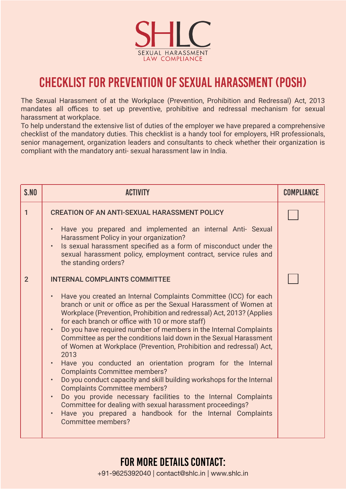

## CHECKLIST FOR PREVENTION OF SEXUAL HARASSMENT (POSH)

The Sexual Harassment of at the Workplace (Prevention, Prohibition and Redressal) Act, 2013 mandates all offices to set up preventive, prohibitive and redressal mechanism for sexual harassment at workplace.

To help understand the extensive list of duties of the employer we have prepared a comprehensive checklist of the mandatory duties. This checklist is a handy tool for employers, HR professionals, senior management, organization leaders and consultants to check whether their organization is compliant with the mandatory anti- sexual harassment law in India.

| S.NO           | <b>ACTIVITY</b>                                                                                                                                                                                                                                                                                                                                                                                                                                                                                                                                                                                                                                                                                                                                                                                                                                                                                                                                                                                                                                           | COMPLIANCE |
|----------------|-----------------------------------------------------------------------------------------------------------------------------------------------------------------------------------------------------------------------------------------------------------------------------------------------------------------------------------------------------------------------------------------------------------------------------------------------------------------------------------------------------------------------------------------------------------------------------------------------------------------------------------------------------------------------------------------------------------------------------------------------------------------------------------------------------------------------------------------------------------------------------------------------------------------------------------------------------------------------------------------------------------------------------------------------------------|------------|
| 1              | <b>CREATION OF AN ANTI-SEXUAL HARASSMENT POLICY</b><br>Have you prepared and implemented an internal Anti- Sexual<br>$\bullet$<br>Harassment Policy in your organization?<br>Is sexual harassment specified as a form of misconduct under the<br>$\bullet$<br>sexual harassment policy, employment contract, service rules and<br>the standing orders?                                                                                                                                                                                                                                                                                                                                                                                                                                                                                                                                                                                                                                                                                                    |            |
| $\overline{2}$ | <b>INTERNAL COMPLAINTS COMMITTEE</b><br>Have you created an Internal Complaints Committee (ICC) for each<br>$\bullet$<br>branch or unit or office as per the Sexual Harassment of Women at<br>Workplace (Prevention, Prohibition and redressal) Act, 2013? (Applies<br>for each branch or office with 10 or more staff)<br>Do you have required number of members in the Internal Complaints<br>$\bullet$<br>Committee as per the conditions laid down in the Sexual Harassment<br>of Women at Workplace (Prevention, Prohibition and redressal) Act,<br>2013<br>Have you conducted an orientation program for the Internal<br>$\bullet$<br><b>Complaints Committee members?</b><br>Do you conduct capacity and skill building workshops for the Internal<br>$\bullet$<br><b>Complaints Committee members?</b><br>Do you provide necessary facilities to the Internal Complaints<br>$\bullet$<br>Committee for dealing with sexual harassment proceedings?<br>Have you prepared a handbook for the Internal Complaints<br>$\bullet$<br>Committee members? |            |